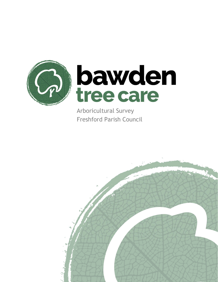

Arboricultural Survey Freshford Parish Council

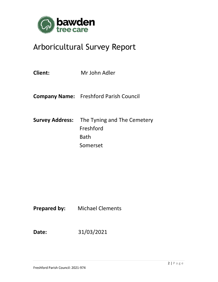

# Arboricultural Survey Report

| <b>Client:</b> | Mr John Adler                                                                       |
|----------------|-------------------------------------------------------------------------------------|
|                | <b>Company Name:</b> Freshford Parish Council                                       |
|                | <b>Survey Address:</b> The Tyning and The Cemetery<br>Freshford<br>Bath<br>Somerset |

**Prepared by:** Michael Clements

**Date:** 31/03/2021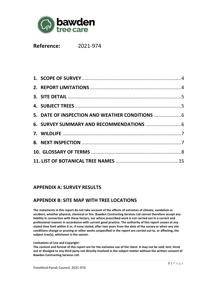

**Reference:** 2021-974

## **APPENDIX A: SURVEY RESULTS**

# **APPENDIX B: SITE MAP WITH TREE LOCATIONS**

**The statements in this report do not take account of the effects of extremes of climate, vandalism or accident, whether physical, chemical or fire. Bawden Contracting Services Ltd cannot therefore accept any liability in connection with these factors, nor where prescribed work is not carried out in a correct and professional manner in accordance with current good practice. The authority of this report ceases at any stated time limit within it or, if none stated, after two years from the date of the survey or when any site conditions change or pruning or other works unspecified in the report are carried out to, or affecting, the subject tree(s), whichever is the sooner.** 

#### **Limitations of Use and Copyright:**

**The content and format of this report are for the exclusive use of the client. It may not be sold, lent, hired out or divulged to any third party not directly involved in the subject matter without the written consent of Bawden Contracting Services Ltd.**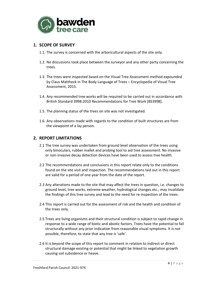

## **1. SCOPE OF SURVEY**

- 1.1. The survey is concerned with the arboricultural aspects of the site only.
- 1.2. No discussions took place between the surveyor and any other party concerning the trees.
- 1.3. The trees were inspected based on the Visual Tree Assessment method expounded by Claus Mattheck in The Body Language of Trees – Encyclopedia of Visual Tree Assessment, 2015.
- 1.4. Any recommended tree works will be required to be carried out in accordance with British Standard 3998:2010 Recommendations for Tree Work [BS3998].
- 1.5. The planning status of the trees on site was not investigated.
- 1.6. Any observations made with regards to the condition of built structures are from the viewpoint of a lay person.

## **2. REPORT LIMITATIONS**

- 2.1 The tree survey was undertaken from ground level observation of the trees using only binoculars, rubber mallet and probing tool to aid tree assessment. No invasive or non-invasive decay detection devices have been used to assess tree health.
- 2.2 The recommendations and conclusions in this report relate only to the conditions found on the site visit and inspection. The recommendations laid out in this report are valid for a period of one year from the date of the report.
- 2.3 Any alterations made to the site that may affect the trees in question, i.e. changes to ground level, tree works, extreme weather, hydrological changes etc., may invalidate the findings of this tree survey and lead to the need for re-inspection of the trees.
- 2.4 This report is carried out for the assessment of risk and the health and condition of the trees only.
- 2.5 Trees are living organisms and their structural condition is subject to rapid change in response to a wide range of biotic and abiotic factors. Trees have the potential to fail structurally without any prior indication from reasonable visual symptoms. It is not possible, therefore, to state that any tree is 'safe'.
- 2.6 It is beyond the scope of this report to comment in relation to indirect or direct structural damage existing or potential that might be linked to vegetation growth causing soil subsidence or heave.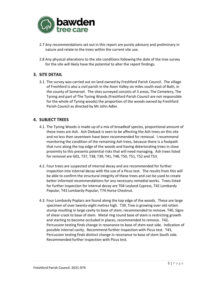

- 2.7 Any recommendations set out in this report are purely advisory and preliminary in nature and relate to the trees within the current site use.
- 2.8 Any physical alterations to the site conditions following the date of the tree survey for the site will likely have the potential to alter the report findings.

## **3. SITE DETAIL**

3.1. The survey was carried out on land owned by Freshford Parish Council. The village of Freshford is also a civil parish in the Avon Valley six miles south-east of Bath, in the county of Somerset. The sites surveyed consists of 3 areas, The Cemetery, The Tyning and part of The Tyning Woods (Freshford Parish Council are not responsible for the whole of Tyning woods) the proportion of the woods owned by Freshford Parish Council as directed by Mr John Adler.

## **4. SUBJECT TREES**

- 4.1. The Tyning Woods is made up of a mix of broadleaf species, proportional amount of these trees are Ash. Ash Dieback is seen to be affecting the Ash trees on this site and no less then seventeen have been recommended for removal. I recommend monitoring the condition of the remaining Ash trees, because there is a footpath that runs along the top edge of the woods and having deteriorating trees in close proximity to this presents potential risks that will need managing. Ash trees listed for removal are G01, T37, T38, T39, T41, T48, T50, T51, T52 and T53.
- 4.2. Four trees are suspected of internal decay and are recommended for further inspection into internal decay with the use of a Picus test. The results from this will be able to confirm the structural integrity of these trees and can be used to create better informed recommendations for any necessary remedial works. Trees listed for further inspection for internal decay are T04 Leyland Cypress, T42 Lombardy Popular, T43 Lombardy Popular, T74 Horse Chestnut.
- 4.3. Four Lombardy Poplars are found along the top edge of the woods. These are large specimen of over twenty-eight metres high. T39, Tree is growing over old rotten stump resulting in large cavity to base of stem, recommended to remove. T40, Signs of shear crack to base of stem. Metal ring round base of stem is restricting growth and starting to become occluded in places, recommended to remove. T42, Percussion testing finds change in resonance to base of stem east side. Indication of possible internal cavity. Recommend further inspection with Picus test. T43, Percussion testing finds distinct change in resonance to base of stem South side. Recommended further inspection with Picus test.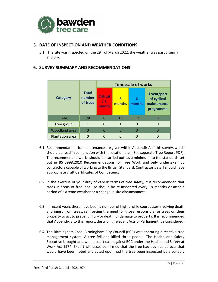

## **5. DATE OF INSPECTION AND WEATHER CONDITIONS**

5.1. The site was inspected on the  $29<sup>th</sup>$  of March 2022, the weather was partly sunny and dry.

|                        | <b>Total</b><br>number<br>of trees | <b>Timescale of works</b>       |             |             |                                                        |
|------------------------|------------------------------------|---------------------------------|-------------|-------------|--------------------------------------------------------|
| <b>Category</b>        |                                    | <b>Critical</b><br>/ 1<br>month | 3<br>months | 6<br>months | 1 year/part<br>of cyclical<br>maintenance<br>programme |
| <b>Tree</b>            | 78                                 | 8                               | 16          | 12          | 8                                                      |
| Tree group             | 1                                  | $\Omega$                        | 1           | 0           |                                                        |
| <b>Woodland area</b>   | 0                                  | O                               | N           | O           |                                                        |
| <b>Plantation area</b> |                                    |                                 |             |             |                                                        |

## **6. SURVEY SUMMARY AND RECOMMENDATIONS**

- 6.1. Recommendations for maintenance are given within Appendix A of this survey, which should be read in conjunction with the location plan (See separate Tree Report PDF). The recommended works should be carried out, as a minimum, to the standards set out in BS 3998:2010 Recommendations for Tree Work and only undertaken by contractors capable of working to the British Standard. Contractor's staff should have appropriate craft Certificates of Competency.
- 6.2. In the exercise of your duty of care in terms of tree safety, it is recommended that trees in areas of frequent use should be re-inspected every 18 months or after a period of extreme weather or a change in site circumstances.
- 6.3. In recent years there have been a number of high-profile court cases involving death and injury from trees, reinforcing the need for those responsible for trees on their property to act to prevent injury or death, or damage to property. It is recommended that Appendix B to this report, describing relevant Acts of Parliament, be considered.
- 6.4. The Birmingham Case. Birmingham City Council (BCC) was operating a reactive tree management system. A tree fell and killed three people. The Health and Safety Executive brought and won a court case against BCC under the Health and Safety at Work Act 1974. Expert witnesses confirmed that the tree had obvious defects that would have been noted and acted upon had the tree been inspected by a suitably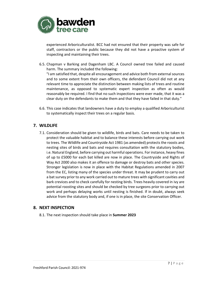

experienced Arboriculturalist. BCC had not ensured that their property was safe for staff, contractors or the public because they did not have a proactive system of inspecting and maintaining their trees.

6.5. Chapman v Barking and Dagenham LBC. A Council owned tree failed and caused harm. The summary included the following: "I am satisfied that, despite all encouragement and advice both from external sources

and to some extent from their own officers, the defendant Council did not at any relevant time to appreciate the distinction between making lists of trees and routine maintenance, as opposed to systematic expert inspection as often as would reasonably be required. I find that no such inspections were ever made, that it was a clear duty on the defendants to make them and that they have failed in that duty."

6.6. This case indicates that landowners have a duty to employ a qualified Arboriculturist to systematically inspect their trees on a regular basis.

## **7. WILDLIFE**

7.1. Consideration should be given to wildlife, birds and bats. Care needs to be taken to protect the valuable habitat and to balance these interests before carrying out work to trees. The Wildlife and Countryside Act 1981 (as amended) protects the roosts and nesting sites of birds and bats and requires consultation with the statutory bodies, i.e. Natural England, before carrying out harmful operations. For instance, heavy fines of up to £5000 for each bat killed are now in place. The Countryside and Rights of Way Act 2000 also makes it an offence to damage or destroy bats and other species. Stronger legislation is now in place with the Habitat Regulations amended in 2007 from the EC, listing many of the species under threat. It may be prudent to carry out a bat survey prior to any work carried out to mature trees with significant cavities and bark crevices and to check carefully for nesting birds. Trees heavily covered in ivy are potential roosting sites and should be checked by tree surgeons prior to carrying out work and perhaps delaying works until nesting is finished. If in doubt, always seek advice from the statutory body and, if one is in place, the site Conservation Officer.

## **8. NEXT INSPECTION**

8.1. The next inspection should take place in **Summer 2023**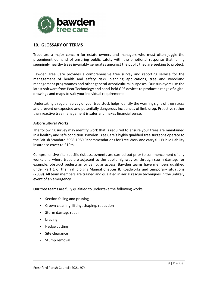

## **10. GLOSSARY OF TERMS**

Trees are a major concern for estate owners and managers who must often juggle the preeminent demand of ensuring public safety with the emotional response that felling seemingly healthy trees invariably generates amongst the public they are seeking to protect.

Bawden Tree Care provides a comprehensive tree survey and reporting service for the management of health and safety risks, planning applications, tree and woodland management programmes and other general Arboricultural purposes. Our surveyors use the latest software from Pear Technology and hand-held GPS devices to produce a range of digital drawings and maps to suit your individual requirements.

Undertaking a regular survey of your tree stock helps identify the warning signs of tree stress and prevent unexpected and potentially dangerous incidences of limb drop. Proactive rather than reactive tree management is safer and makes financial sense.

#### **Arboricultural Works**

The following survey may identify work that is required to ensure your trees are maintained in a healthy and safe condition. Bawden Tree Care's highly qualified tree surgeons operate to the British Standard 3998:1989 Recommendations for Tree Work and carry full Public Liability insurance cover to £10m.

Comprehensive site-specific risk assessments are carried out prior to commencement of any works and where trees are adjacent to the public highway or, through storm damage for example, obstruct pedestrian or vehicular access, Bawden teams have members qualified under Part 1 of the Traffic Signs Manual Chapter 8: Roadworks and temporary situations (2009). All team members are trained and qualified in aerial rescue techniques in the unlikely event of an emergency.

Our tree teams are fully qualified to undertake the following works:

- Section felling and pruning
- Crown cleaning, lifting, shaping, reduction
- Storm damage repair
- bracing
- Hedge cutting
- Site clearance
- Stump removal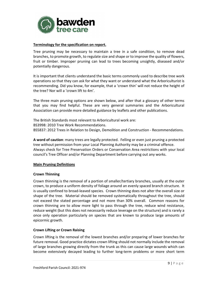

#### **Terminology for the specification on report.**

Tree pruning may be necessary to maintain a tree in a safe condition, to remove dead branches, to promote growth, to regulate size and shape or to improve the quality of flowers, fruit or timber. Improper pruning can lead to trees becoming unsightly, diseased and/or potentially dangerous.

It is important that clients understand the basic terms commonly used to describe tree work operations so that they can ask for what they want or understand what the Arboriculturist is recommending. Did you know, for example, that a 'crown thin' will not reduce the height of the tree? Nor will a 'crown lift to 4m'.

The three main pruning options are shown below, and after that a glossary of other terms that you may find helpful. These are very general summaries and the Arboricultural Association can provide more detailed guidance by leaflets and other publications.

The British Standards most relevant to Arboricultural work are: BS3998: 2010 Tree Work Recommendations. BS5837: 2012 Trees in Relation to Design, Demolition and Construction - Recommendations.

**A word of caution**: many trees are legally protected. Felling or even just pruning a protected tree without permission from your Local Planning Authority may be a criminal offence. Always check for Tree Preservation Orders or Conservation Area restrictions with your local council's Tree Officer and/or Planning Department before carrying out any works.

#### **Main Pruning Definitions**

#### **Crown Thinning**

Crown thinning is the removal of a portion of smaller/tertiary branches, usually at the outer crown, to produce a uniform density of foliage around an evenly spaced branch structure. It is usually confined to broad-leaved species. Crown thinning does not alter the overall size or shape of the tree. Material should be removed systematically throughout the tree, should not exceed the stated percentage and not more than 30% overall. Common reasons for crown thinning are to allow more light to pass through the tree, reduce wind resistance, reduce weight (but this does not necessarily reduce leverage on the structure) and is rarely a once only operation particularly on species that are known to produce large amounts of epicormic growth.

#### **Crown Lifting or Crown Raising**

Crown lifting is the removal of the lowest branches and/or preparing of lower branches for future removal. Good practice dictates crown lifting should not normally include the removal of large branches growing directly from the trunk as this can cause large wounds which can become extensively decayed leading to further long-term problems or more short term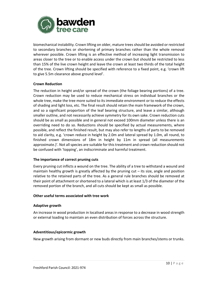

biomechanical instability. Crown lifting on older, mature trees should be avoided or restricted to secondary branches or shortening of primary branches rather than the whole removal wherever possible. Crown lifting is an effective method of increasing light transmission to areas closer to the tree or to enable access under the crown but should be restricted to less than 15% of the live crown height and leave the crown at least two thirds of the total height of the tree. Crown lifting should be specified with reference to a fixed point, e.g. 'crown lift to give 5.5m clearance above ground level'.

#### **Crown Reduction**

The reduction in height and/or spread of the crown (the foliage bearing portions) of a tree. Crown reduction may be used to reduce mechanical stress on individual branches or the whole tree, make the tree more suited to its immediate environment or to reduce the effects of shading and light loss, etc. The final result should retain the main framework of the crown, and so a significant proportion of the leaf bearing structure, and leave a similar, although smaller outline, and not necessarily achieve symmetry for its own sake. Crown reduction cuts should be as small as possible and in general not exceed 100mm diameter unless there is an overriding need to do so. Reductions should be specified by actual measurements, where possible, and reflect the finished result, but may also refer to lengths of parts to be removed to aid clarity, e.g. 'crown reduce in height by 2.0m and lateral spread by 1.0m, all round, to finished crown dimensions of 18m in height by 11m in spread (all measurements approximate.)'. Not all species are suitable for this treatment and crown reduction should not be confused with 'topping', an indiscriminate and harmful treatment.

## **The importance of correct pruning cuts**

Every pruning cut inflicts a wound on the tree. The ability of a tree to withstand a wound and maintain healthy growth is greatly affected by the pruning cut – its size, angle and position relative to the retained parts of the tree. As a general rule branches should be removed at their point of attachment or shortened to a lateral which is at least 1/3 of the diameter of the removed portion of the branch, and all cuts should be kept as small as possible.

#### **Other useful terms associated with tree work**

## **Adaptive growth**

An increase in wood production in localised areas in response to a decrease in wood strength or external loading to maintain an even distribution of forces across the structure.

## **Adventitious/epicormic growth**

New growth arising from dormant or new buds directly from main branches/stems or trunks.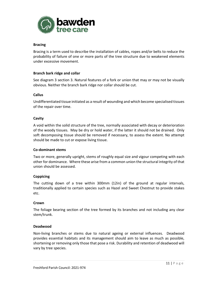

#### **Bracing**

Bracing is a term used to describe the installation of cables, ropes and/or belts to reduce the probability of failure of one or more parts of the tree structure due to weakened elements under excessive movement.

#### **Branch bark ridge and collar**

See diagram 3 section 3. Natural features of a fork or union that may or may not be visually obvious. Neither the branch bark ridge nor collar should be cut.

#### **Callus**

Undifferentiated tissue initiated as a result of wounding and which become specialised tissues of the repair over time.

#### **Cavity**

A void within the solid structure of the tree, normally associated with decay or deterioration of the woody tissues. May be dry or hold water, if the latter it should not be drained. Only soft decomposing tissue should be removed if necessary, to assess the extent. No attempt should be made to cut or expose living tissue.

#### **Co-dominant stems**

Two or more, generally upright, stems of roughly equal size and vigour competing with each other for dominance. Where these arise from a common union the structural integrity of that union should be assessed.

#### **Coppicing**

The cutting down of a tree within 300mm (12in) of the ground at regular intervals, traditionally applied to certain species such as Hazel and Sweet Chestnut to provide stakes etc.

#### **Crown**

The foliage bearing section of the tree formed by its branches and not including any clear stem/trunk.

#### **Deadwood**

Non-living branches or stems due to natural ageing or external influences. Deadwood provides essential habitats and its management should aim to leave as much as possible, shortening or removing only those that pose a risk. Durability and retention of deadwood will vary by tree species.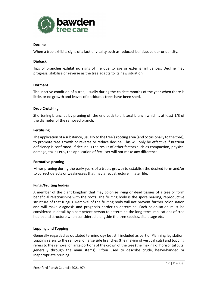

#### **Decline**

When a tree exhibits signs of a lack of vitality such as reduced leaf size, colour or density.

#### **Dieback**

Tips of branches exhibit no signs of life due to age or external influences. Decline may progress, stabilise or reverse as the tree adapts to its new situation.

#### **Dormant**

The inactive condition of a tree, usually during the coldest months of the year when there is little, or no growth and leaves of deciduous trees have been shed.

## **Drop Crotching**

Shortening branches by pruning off the end back to a lateral branch which is at least 1/3 of the diameter of the removed branch.

#### **Fertilising**

The application of a substance, usually to the tree's rooting area (and occasionally to the tree), to promote tree growth or reverse or reduce decline. This will only be effective if nutrient deficiency is confirmed. If decline is the result of other factors such as compaction, physical damage, toxins etc., the application of fertiliser will not make any difference.

#### **Formative pruning**

Minor pruning during the early years of a tree's growth to establish the desired form and/or to correct defects or weaknesses that may affect structure in later life.

## **Fungi/Fruiting bodies**

A member of the plant kingdom that may colonise living or dead tissues of a tree or form beneficial relationships with the roots. The fruiting body is the spore bearing, reproductive structure of that fungus. Removal of the fruiting body will not prevent further colonisation and will make diagnosis and prognosis harder to determine. Each colonisation must be considered in detail by a competent person to determine the long-term implications of tree health and structure when considered alongside the tree species, site usage etc.

#### **Lopping and Topping**

Generally regarded as outdated terminology but still included as part of Planning legislation. Lopping refers to the removal of large side branches (the making of vertical cuts) and topping refers to the removal of large portions of the crown of the tree (the making of horizontal cuts, generally through the main stems). Often used to describe crude, heavy-handed or inappropriate pruning.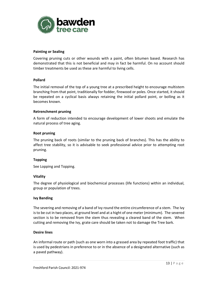

#### **Painting or Sealing**

Covering pruning cuts or other wounds with a paint, often bitumen based. Research has demonstrated that this is not beneficial and may in fact be harmful. On no account should timber treatments be used as these are harmful to living cells.

#### **Pollard**

The initial removal of the top of a young tree at a prescribed height to encourage multistem branching from that point, traditionally for fodder, firewood or poles. Once started, it should be repeated on a cyclical basis always retaining the initial pollard point, or bolling as it becomes known.

#### **Retrenchment pruning**

A form of reduction intended to encourage development of lower shoots and emulate the natural process of tree aging.

#### **Root pruning**

The pruning back of roots (similar to the pruning back of branches). This has the ability to affect tree stability, so it is advisable to seek professional advice prior to attempting root pruning.

#### **Topping**

See Lopping and Topping.

#### **Vitality**

The degree of physiological and biochemical processes (life functions) within an individual, group or population of trees.

#### **Ivy Banding**

The severing and removing of a band of Ivy round the entire circumference of a stem. The Ivy is to be cut in two places, at ground level and at a hight of one meter (minimum). The severed section is to be removed from the stem thus revealing a cleared band of the stem. When cutting and removing the Ivy, grate care should be taken not to damage the Tree bark.

#### **Desire lines**

An informal route or path (such as one worn into a grassed area by repeated foot traffic) that is used by pedestrians in preference to or in the absence of a designated alternative (such as a paved pathway).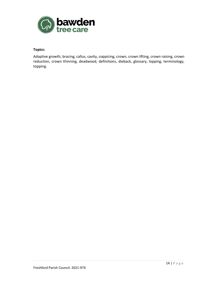

## **Topics:**

Adaptive growth, bracing, callus, cavity, coppicing, crown, crown lifting, crown raising, crown reduction, crown thinning, deadwood, definitions, dieback, glossary, lopping, terminology, topping.